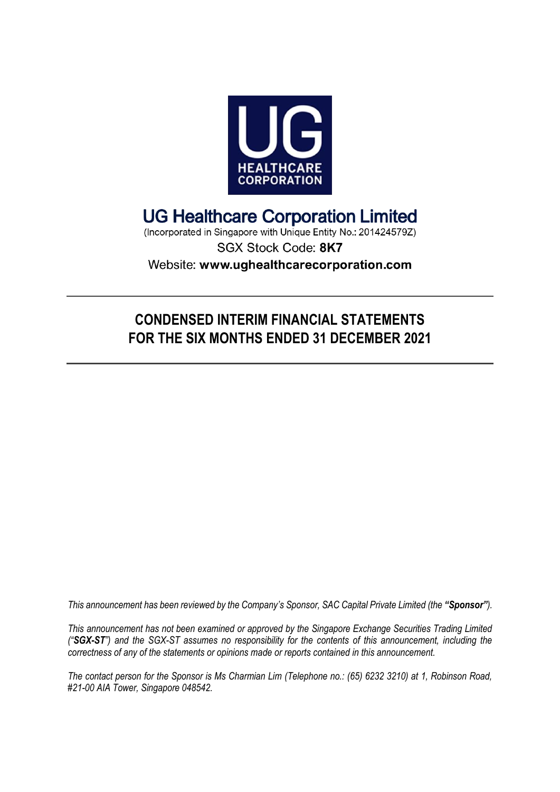

# **UG Healthcare Corporation Limited**

(Incorporated in Singapore with Unique Entity No.: 201424579Z) SGX Stock Code: 8K7 Website: www.ughealthcarecorporation.com

## **CONDENSED INTERIM FINANCIAL STATEMENTS FOR THE SIX MONTHS ENDED 31 DECEMBER 2021**

*This announcement has been reviewed by the Company's Sponsor, SAC Capital Private Limited (the "Sponsor").*

*This announcement has not been examined or approved by the Singapore Exchange Securities Trading Limited ("SGX-ST") and the SGX-ST assumes no responsibility for the contents of this announcement, including the correctness of any of the statements or opinions made or reports contained in this announcement.*

*The contact person for the Sponsor is Ms Charmian Lim (Telephone no.: (65) 6232 3210) at 1, Robinson Road, #21-00 AIA Tower, Singapore 048542.*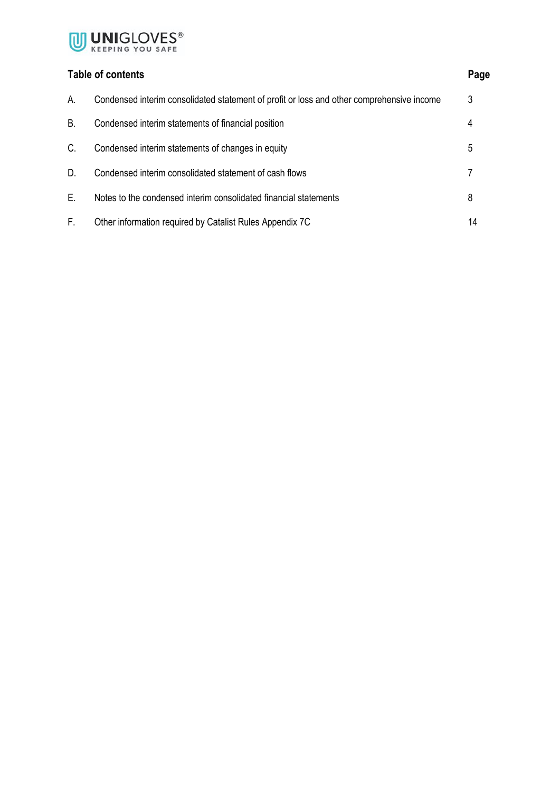

### **Table of contents Page**

| А. | Condensed interim consolidated statement of profit or loss and other comprehensive income | 3  |
|----|-------------------------------------------------------------------------------------------|----|
| Β. | Condensed interim statements of financial position                                        | 4  |
| C. | Condensed interim statements of changes in equity                                         | 5  |
| D. | Condensed interim consolidated statement of cash flows                                    |    |
| Е. | Notes to the condensed interim consolidated financial statements                          | 8  |
| F. | Other information required by Catalist Rules Appendix 7C                                  | 14 |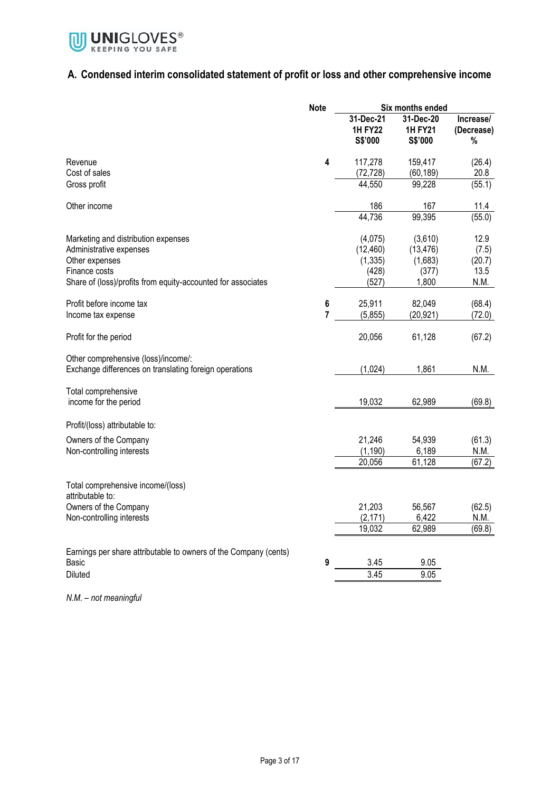

### **A. Condensed interim consolidated statement of profit or loss and other comprehensive income**

|                                                                                                   | <b>Note</b>                        | Six months ended                          |                                          |                                 |
|---------------------------------------------------------------------------------------------------|------------------------------------|-------------------------------------------|------------------------------------------|---------------------------------|
|                                                                                                   |                                    | 31-Dec-21<br><b>1H FY22</b><br>S\$'000    | 31-Dec-20<br><b>1H FY21</b><br>S\$'000   | Increase/<br>(Decrease)<br>$\%$ |
| Revenue<br>Cost of sales                                                                          | 4                                  | 117,278<br>(72, 728)                      | 159,417<br>(60, 189)                     | (26.4)<br>20.8                  |
| Gross profit                                                                                      |                                    | 44,550                                    | 99,228                                   | (55.1)                          |
| Other income                                                                                      |                                    | 186                                       | 167                                      | 11.4                            |
|                                                                                                   |                                    | 44,736                                    | 99,395                                   | (55.0)                          |
| Marketing and distribution expenses<br>Administrative expenses<br>Other expenses<br>Finance costs |                                    | (4,075)<br>(12, 460)<br>(1, 335)<br>(428) | (3,610)<br>(13, 476)<br>(1,683)<br>(377) | 12.9<br>(7.5)<br>(20.7)<br>13.5 |
| Share of (loss)/profits from equity-accounted for associates                                      |                                    | (527)                                     | 1,800                                    | N.M.                            |
| Profit before income tax<br>Income tax expense                                                    | $\boldsymbol{6}$<br>$\overline{7}$ | 25,911<br>(5,855)                         | 82,049<br>(20, 921)                      | (68.4)<br>(72.0)                |
| Profit for the period                                                                             |                                    | 20,056                                    | 61,128                                   | (67.2)                          |
| Other comprehensive (loss)/income/:<br>Exchange differences on translating foreign operations     |                                    | (1,024)                                   | 1,861                                    | N.M.                            |
| Total comprehensive<br>income for the period                                                      |                                    | 19,032                                    | 62,989                                   | (69.8)                          |
| Profit/(loss) attributable to:                                                                    |                                    |                                           |                                          |                                 |
| Owners of the Company<br>Non-controlling interests                                                |                                    | 21,246<br>(1, 190)<br>20,056              | 54,939<br>6,189<br>61,128                | (61.3)<br>N.M.<br>(67.2)        |
| Total comprehensive income/(loss)<br>attributable to:                                             |                                    |                                           |                                          |                                 |
| Owners of the Company<br>Non-controlling interests                                                |                                    | 21,203<br>(2, 171)                        | 56,567<br>6,422                          | (62.5)<br>N.M.                  |
|                                                                                                   |                                    | 19,032                                    | 62,989                                   | (69.8)                          |
| Earnings per share attributable to owners of the Company (cents)<br>Basic                         | 9                                  | 3.45                                      | 9.05                                     |                                 |
| Diluted                                                                                           |                                    | 3.45                                      | 9.05                                     |                                 |

*N.M. – not meaningful*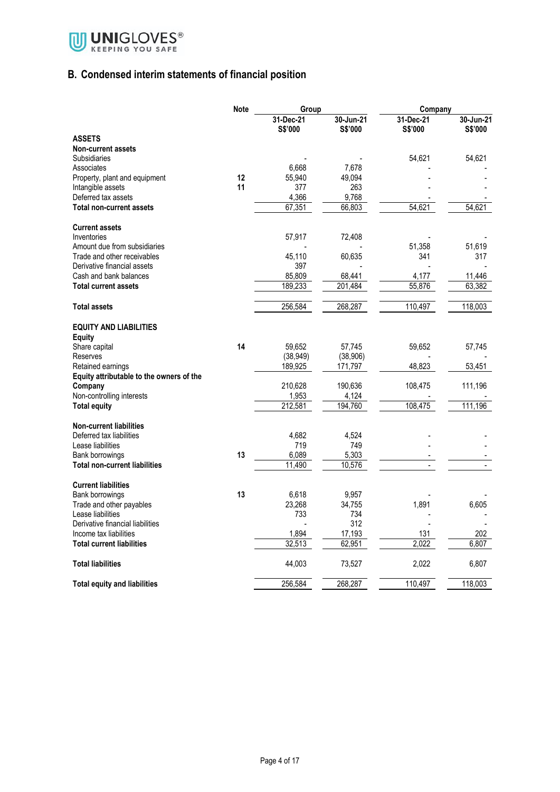

## **B. Condensed interim statements of financial position**

|                                          | <b>Note</b> | Group                |                      | Company              |                      |
|------------------------------------------|-------------|----------------------|----------------------|----------------------|----------------------|
|                                          |             | 31-Dec-21<br>S\$'000 | 30-Jun-21<br>S\$'000 | 31-Dec-21<br>S\$'000 | 30-Jun-21<br>S\$'000 |
| <b>ASSETS</b>                            |             |                      |                      |                      |                      |
| <b>Non-current assets</b>                |             |                      |                      |                      |                      |
| Subsidiaries                             |             |                      |                      | 54,621               | 54,621               |
| Associates                               |             | 6,668                | 7,678                |                      |                      |
| Property, plant and equipment            | 12          | 55,940               | 49,094               |                      |                      |
| Intangible assets                        | 11          | 377                  | 263                  |                      |                      |
| Deferred tax assets                      |             | 4,366                | 9,768                |                      |                      |
| <b>Total non-current assets</b>          |             | 67,351               | 66,803               | 54,621               | 54,621               |
| <b>Current assets</b>                    |             |                      |                      |                      |                      |
| Inventories                              |             | 57,917               | 72,408               |                      |                      |
| Amount due from subsidiaries             |             |                      |                      | 51,358               | 51,619               |
| Trade and other receivables              |             | 45,110               | 60,635               | 341                  | 317                  |
| Derivative financial assets              |             | 397                  |                      |                      |                      |
| Cash and bank balances                   |             | 85,809               | 68,441               | 4,177                | 11,446               |
| <b>Total current assets</b>              |             | 189,233              | 201,484              | 55,876               | 63,382               |
| Total assets                             |             | 256,584              | 268,287              | 110,497              | 118,003              |
| <b>EQUITY AND LIABILITIES</b>            |             |                      |                      |                      |                      |
| <b>Equity</b>                            |             |                      |                      |                      |                      |
| Share capital                            | 14          | 59,652               | 57,745               | 59,652               | 57,745               |
| Reserves                                 |             | (38, 949)            | (38,906)             |                      |                      |
| Retained earnings                        |             | 189,925              | 171,797              | 48,823               | 53,451               |
| Equity attributable to the owners of the |             |                      |                      |                      |                      |
| Company                                  |             | 210,628              | 190,636              | 108,475              | 111,196              |
| Non-controlling interests                |             | 1,953                | 4,124                |                      |                      |
| Total equity                             |             | 212,581              | 194.760              | 108,475              | 111,196              |
| <b>Non-current liabilities</b>           |             |                      |                      |                      |                      |
| Deferred tax liabilities                 |             | 4,682                | 4,524                |                      |                      |
| Lease liabilities                        |             | 719                  | 749                  |                      |                      |
| Bank borrowings                          | 13          | 6,089                | 5,303                |                      |                      |
| <b>Total non-current liabilities</b>     |             | 11,490               | 10,576               |                      |                      |
| <b>Current liabilities</b>               |             |                      |                      |                      |                      |
| Bank borrowings                          | 13          | 6,618                | 9,957                |                      |                      |
| Trade and other payables                 |             | 23,268               | 34,755               | 1,891                | 6,605                |
| Lease liabilities                        |             | 733                  | 734                  |                      |                      |
| Derivative financial liabilities         |             |                      | 312                  |                      |                      |
| Income tax liabilities                   |             | 1,894                | 17,193               | 131                  | 202                  |
| <b>Total current liabilities</b>         |             | 32,513               | 62,951               | 2,022                | 6,807                |
| <b>Total liabilities</b>                 |             | 44,003               | 73,527               | 2,022                | 6,807                |
| <b>Total equity and liabilities</b>      |             | 256,584              | 268,287              | 110.497              | 118,003              |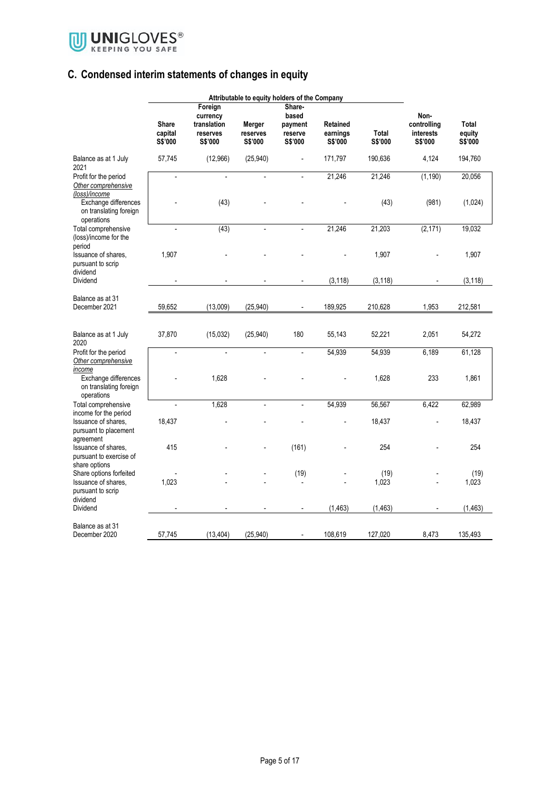

## **C. Condensed interim statements of changes in equity**

| Attributable to equity holders of the Company                       |                                    |                                                           |                               |                                                  |                                 |                  |                                             |                            |
|---------------------------------------------------------------------|------------------------------------|-----------------------------------------------------------|-------------------------------|--------------------------------------------------|---------------------------------|------------------|---------------------------------------------|----------------------------|
|                                                                     | <b>Share</b><br>capital<br>S\$'000 | Foreign<br>currency<br>translation<br>reserves<br>S\$'000 | Merger<br>reserves<br>S\$'000 | Share-<br>based<br>payment<br>reserve<br>S\$'000 | Retained<br>earnings<br>S\$'000 | Total<br>S\$'000 | Non-<br>controlling<br>interests<br>S\$'000 | Total<br>equity<br>S\$'000 |
| Balance as at 1 July<br>2021                                        | 57,745                             | (12,966)                                                  | (25, 940)                     | $\overline{a}$                                   | 171,797                         | 190,636          | 4,124                                       | 194,760                    |
| Profit for the period<br>Other comprehensive<br>(loss)/income       |                                    |                                                           |                               |                                                  | 21,246                          | 21,246           | (1, 190)                                    | 20,056                     |
| Exchange differences<br>on translating foreign<br>operations        |                                    | (43)                                                      |                               |                                                  |                                 | (43)             | (981)                                       | (1,024)                    |
| Total comprehensive<br>(loss)/income for the<br>period              |                                    | (43)                                                      |                               | $\overline{a}$                                   | 21,246                          | 21,203           | (2, 171)                                    | 19,032                     |
| Issuance of shares.<br>pursuant to scrip<br>dividend                | 1,907                              |                                                           |                               |                                                  |                                 | 1,907            |                                             | 1,907                      |
| Dividend                                                            |                                    |                                                           |                               |                                                  | (3, 118)                        | (3, 118)         |                                             | (3, 118)                   |
| Balance as at 31<br>December 2021                                   | 59,652                             | (13,009)                                                  | (25,940)                      |                                                  | 189,925                         | 210,628          | 1,953                                       | 212,581                    |
| Balance as at 1 July<br>2020                                        | 37,870                             | (15,032)                                                  | (25,940)                      | 180                                              | 55,143                          | 52,221           | 2,051                                       | 54,272                     |
| Profit for the period<br>Other comprehensive<br>income              | $\overline{\phantom{a}}$           | $\overline{a}$                                            | $\overline{\phantom{a}}$      | $\overline{a}$                                   | 54,939                          | 54,939           | 6,189                                       | 61,128                     |
| Exchange differences<br>on translating foreign<br>operations        |                                    | 1.628                                                     |                               |                                                  |                                 | 1,628            | 233                                         | 1,861                      |
| Total comprehensive<br>income for the period                        |                                    | 1,628                                                     |                               | ÷,                                               | 54,939                          | 56,567           | 6,422                                       | 62,989                     |
| Issuance of shares,<br>pursuant to placement<br>agreement           | 18,437                             |                                                           |                               |                                                  |                                 | 18,437           |                                             | 18,437                     |
| Issuance of shares.<br>pursuant to exercise of<br>share options     | 415                                |                                                           |                               | (161)                                            |                                 | 254              |                                             | 254                        |
| Share options forfeited<br>Issuance of shares,<br>pursuant to scrip | 1,023                              |                                                           |                               | (19)                                             |                                 | (19)<br>1,023    |                                             | (19)<br>1,023              |
| dividend<br>Dividend                                                |                                    |                                                           |                               |                                                  | (1, 463)                        | (1, 463)         |                                             | (1, 463)                   |
| Balance as at 31<br>December 2020                                   | 57,745                             | (13, 404)                                                 | (25, 940)                     |                                                  | 108,619                         | 127,020          | 8,473                                       | 135,493                    |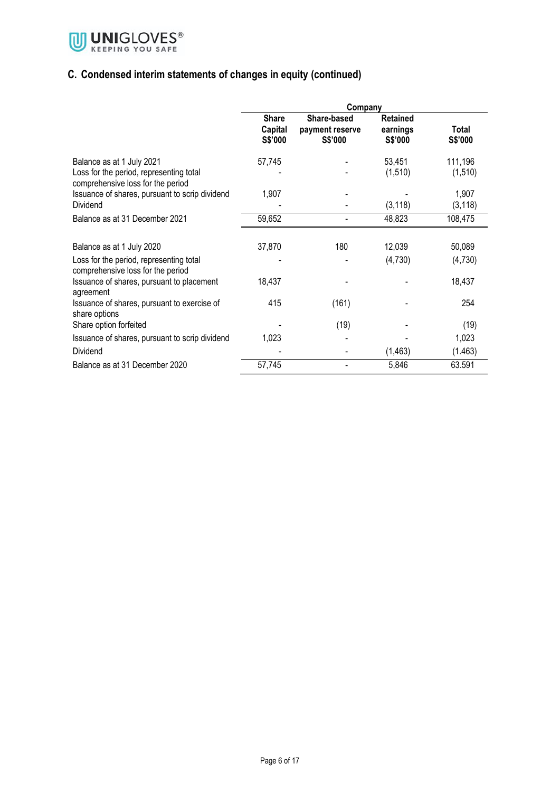

## **C. Condensed interim statements of changes in equity (continued)**

|                                                                                                           | Company                            |                                                  |                                        |                     |  |  |
|-----------------------------------------------------------------------------------------------------------|------------------------------------|--------------------------------------------------|----------------------------------------|---------------------|--|--|
|                                                                                                           | <b>Share</b><br>Capital<br>S\$'000 | Share-based<br>payment reserve<br><b>S\$'000</b> | <b>Retained</b><br>earnings<br>S\$'000 | Total<br>S\$'000    |  |  |
| Balance as at 1 July 2021<br>Loss for the period, representing total<br>comprehensive loss for the period | 57,745                             |                                                  | 53,451<br>(1,510)                      | 111,196<br>(1, 510) |  |  |
| Issuance of shares, pursuant to scrip dividend<br>Dividend                                                | 1,907                              |                                                  | (3, 118)                               | 1,907<br>(3, 118)   |  |  |
| Balance as at 31 December 2021                                                                            | 59,652                             |                                                  | 48,823                                 | 108,475             |  |  |
| Balance as at 1 July 2020                                                                                 | 37,870                             | 180                                              | 12,039                                 | 50,089              |  |  |
| Loss for the period, representing total<br>comprehensive loss for the period                              |                                    |                                                  | (4,730)                                | (4,730)             |  |  |
| Issuance of shares, pursuant to placement<br>agreement                                                    | 18,437                             |                                                  |                                        | 18,437              |  |  |
| Issuance of shares, pursuant to exercise of<br>share options                                              | 415                                | (161)                                            |                                        | 254                 |  |  |
| Share option forfeited                                                                                    |                                    | (19)                                             |                                        | (19)                |  |  |
| Issuance of shares, pursuant to scrip dividend                                                            | 1,023                              |                                                  |                                        | 1,023               |  |  |
| Dividend                                                                                                  |                                    |                                                  | (1, 463)                               | (1.463)             |  |  |
| Balance as at 31 December 2020                                                                            | 57,745                             |                                                  | 5,846                                  | 63.591              |  |  |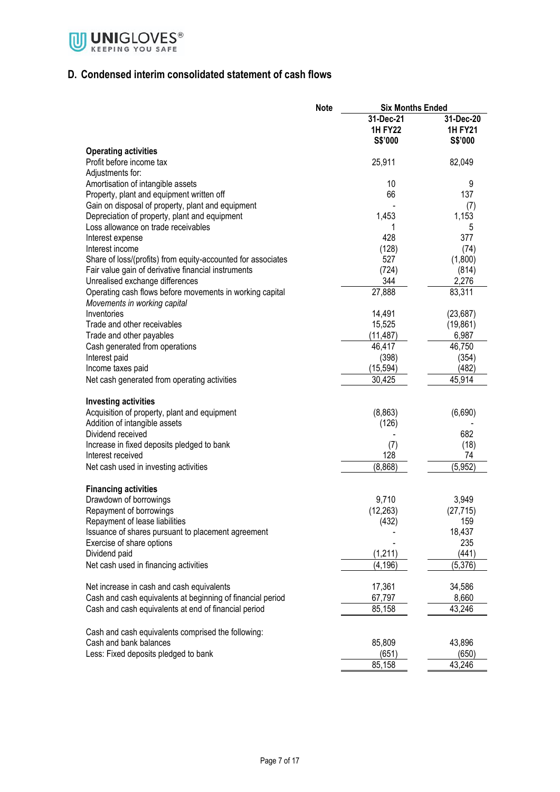

### **D. Condensed interim consolidated statement of cash flows**

|                                                                                                | <b>Note</b> | <b>Six Months Ended</b> |                  |
|------------------------------------------------------------------------------------------------|-------------|-------------------------|------------------|
|                                                                                                |             | 31-Dec-21               | 31-Dec-20        |
|                                                                                                |             | <b>1H FY22</b>          | <b>1H FY21</b>   |
|                                                                                                |             | S\$'000                 | S\$'000          |
| <b>Operating activities</b>                                                                    |             |                         |                  |
| Profit before income tax                                                                       |             | 25,911                  | 82,049           |
| Adjustments for:                                                                               |             |                         |                  |
| Amortisation of intangible assets                                                              |             | 10<br>66                | 9<br>137         |
| Property, plant and equipment written off<br>Gain on disposal of property, plant and equipment |             |                         |                  |
| Depreciation of property, plant and equipment                                                  |             | 1,453                   | (7)<br>1,153     |
| Loss allowance on trade receivables                                                            |             | 1                       | 5                |
| Interest expense                                                                               |             | 428                     | 377              |
| Interest income                                                                                |             | (128)                   | (74)             |
| Share of loss/(profits) from equity-accounted for associates                                   |             | 527                     | (1,800)          |
| Fair value gain of derivative financial instruments                                            |             | (724)                   | (814)            |
| Unrealised exchange differences                                                                |             | 344                     | 2,276            |
| Operating cash flows before movements in working capital                                       |             | 27,888                  | 83,311           |
| Movements in working capital                                                                   |             |                         |                  |
| Inventories                                                                                    |             | 14,491                  | (23, 687)        |
| Trade and other receivables                                                                    |             | 15,525                  | (19, 861)        |
| Trade and other payables                                                                       |             | (11, 487)               | 6,987            |
| Cash generated from operations                                                                 |             | 46,417                  | 46,750           |
| Interest paid                                                                                  |             | (398)                   | (354)            |
| Income taxes paid                                                                              |             | (15, 594)               | (482)            |
| Net cash generated from operating activities                                                   |             | 30,425                  | 45,914           |
| <b>Investing activities</b>                                                                    |             |                         |                  |
| Acquisition of property, plant and equipment                                                   |             | (8,863)                 | (6,690)          |
| Addition of intangible assets                                                                  |             | (126)                   |                  |
| Dividend received                                                                              |             |                         | 682              |
| Increase in fixed deposits pledged to bank                                                     |             | (7)                     | (18)             |
| Interest received                                                                              |             | 128                     | 74               |
| Net cash used in investing activities                                                          |             | (8,868)                 | (5, 952)         |
|                                                                                                |             |                         |                  |
| <b>Financing activities</b>                                                                    |             |                         |                  |
| Drawdown of borrowings                                                                         |             | 9,710                   | 3,949            |
| Repayment of borrowings<br>Repayment of lease liabilities                                      |             | (12, 263)<br>(432)      | (27, 715)<br>159 |
| Issuance of shares pursuant to placement agreement                                             |             |                         | 18,437           |
| Exercise of share options                                                                      |             |                         | 235              |
| Dividend paid                                                                                  |             | (1, 211)                | (441)            |
| Net cash used in financing activities                                                          |             | (4, 196)                | (5,376)          |
|                                                                                                |             |                         |                  |
| Net increase in cash and cash equivalents                                                      |             | 17,361                  | 34,586           |
| Cash and cash equivalents at beginning of financial period                                     |             | 67,797                  | 8,660            |
| Cash and cash equivalents at end of financial period                                           |             | 85,158                  | 43,246           |
|                                                                                                |             |                         |                  |
| Cash and cash equivalents comprised the following:<br>Cash and bank balances                   |             | 85,809                  | 43,896           |
| Less: Fixed deposits pledged to bank                                                           |             | (651)                   | (650)            |
|                                                                                                |             | 85,158                  | 43,246           |
|                                                                                                |             |                         |                  |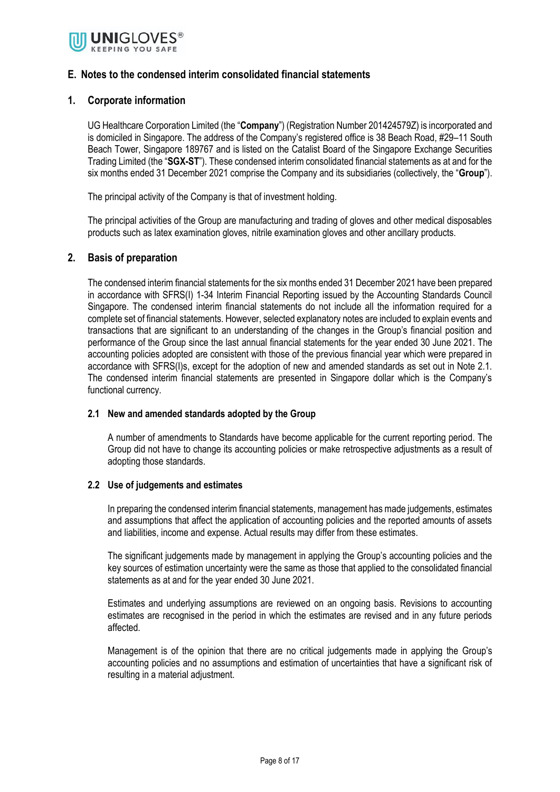

#### **E. Notes to the condensed interim consolidated financial statements**

#### **1. Corporate information**

UG Healthcare Corporation Limited (the "**Company**") (Registration Number 201424579Z) is incorporated and is domiciled in Singapore. The address of the Company's registered office is 38 Beach Road, #29–11 South Beach Tower, Singapore 189767 and is listed on the Catalist Board of the Singapore Exchange Securities Trading Limited (the "**SGX-ST**"). These condensed interim consolidated financial statements as at and for the six months ended 31 December 2021 comprise the Company and its subsidiaries (collectively, the "**Group**").

The principal activity of the Company is that of investment holding.

The principal activities of the Group are manufacturing and trading of gloves and other medical disposables products such as latex examination gloves, nitrile examination gloves and other ancillary products.

#### **2. Basis of preparation**

The condensed interim financial statements for the six months ended 31 December 2021 have been prepared in accordance with SFRS(I) 1-34 Interim Financial Reporting issued by the Accounting Standards Council Singapore. The condensed interim financial statements do not include all the information required for a complete set of financial statements. However, selected explanatory notes are included to explain events and transactions that are significant to an understanding of the changes in the Group's financial position and performance of the Group since the last annual financial statements for the year ended 30 June 2021. The accounting policies adopted are consistent with those of the previous financial year which were prepared in accordance with SFRS(I)s, except for the adoption of new and amended standards as set out in Note 2.1. The condensed interim financial statements are presented in Singapore dollar which is the Company's functional currency.

#### **2.1 New and amended standards adopted by the Group**

A number of amendments to Standards have become applicable for the current reporting period. The Group did not have to change its accounting policies or make retrospective adjustments as a result of adopting those standards.

#### **2.2 Use of judgements and estimates**

In preparing the condensed interim financial statements, management has made judgements, estimates and assumptions that affect the application of accounting policies and the reported amounts of assets and liabilities, income and expense. Actual results may differ from these estimates.

The significant judgements made by management in applying the Group's accounting policies and the key sources of estimation uncertainty were the same as those that applied to the consolidated financial statements as at and for the year ended 30 June 2021.

Estimates and underlying assumptions are reviewed on an ongoing basis. Revisions to accounting estimates are recognised in the period in which the estimates are revised and in any future periods affected.

Management is of the opinion that there are no critical judgements made in applying the Group's accounting policies and no assumptions and estimation of uncertainties that have a significant risk of resulting in a material adjustment.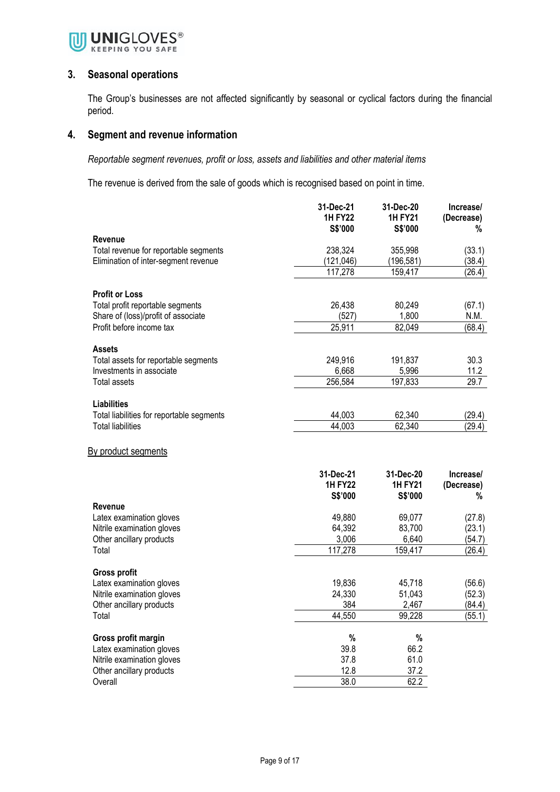

#### **3. Seasonal operations**

The Group's businesses are not affected significantly by seasonal or cyclical factors during the financial period.

#### **4. Segment and revenue information**

*Reportable segment revenues, profit or loss, assets and liabilities and other material items*

The revenue is derived from the sale of goods which is recognised based on point in time.

|                                                        | 31-Dec-21<br><b>1H FY22</b><br>S\$'000 | 31-Dec-20<br><b>1H FY21</b><br>S\$'000 | Increase/<br>(Decrease)<br>% |
|--------------------------------------------------------|----------------------------------------|----------------------------------------|------------------------------|
| <b>Revenue</b>                                         |                                        |                                        |                              |
| Total revenue for reportable segments                  | 238,324                                | 355,998                                | (33.1)                       |
| Elimination of inter-segment revenue                   | (121, 046)                             | (196, 581)                             | (38.4)                       |
|                                                        | 117,278                                | 159,417                                | (26.4)                       |
| <b>Profit or Loss</b>                                  |                                        |                                        |                              |
| Total profit reportable segments                       | 26,438                                 | 80,249                                 | (67.1)                       |
| Share of (loss)/profit of associate                    | (527)                                  | 1,800                                  | N.M.                         |
| Profit before income tax                               | 25,911                                 | 82,049                                 | (68.4)                       |
| <b>Assets</b>                                          |                                        |                                        |                              |
| Total assets for reportable segments                   | 249,916                                | 191,837                                | 30.3                         |
| Investments in associate                               | 6,668                                  | 5,996                                  | 11.2                         |
| Total assets                                           | 256,584                                | 197,833                                | 29.7                         |
| <b>Liabilities</b>                                     |                                        |                                        |                              |
| Total liabilities for reportable segments              | 44,003                                 | 62,340                                 | (29.4)                       |
| <b>Total liabilities</b>                               | 44,003                                 | 62,340                                 | (29.4)                       |
| <u>By product segments</u>                             |                                        |                                        |                              |
|                                                        | 31-Dec-21                              | 31-Dec-20                              | Increase/                    |
|                                                        | <b>1H FY22</b>                         | <b>1H FY21</b>                         | (Decrease)                   |
|                                                        | S\$'000                                | S\$'000                                | %                            |
| <b>Revenue</b>                                         |                                        |                                        |                              |
| Latex examination gloves<br>Nitrile examination gloves | 49,880<br>64,392                       | 69,077<br>83,700                       | (27.8)<br>(23.1)             |
| Other ancillary products                               | 3,006                                  | 6,640                                  | (54.7)                       |
| Total                                                  | 117,278                                | 159,417                                | (26.4)                       |
|                                                        |                                        |                                        |                              |
| <b>Gross profit</b>                                    |                                        |                                        |                              |
| Latex examination gloves                               | 19,836                                 | 45,718                                 | (56.6)                       |
| Nitrile examination gloves                             | 24,330                                 | 51,043                                 | (52.3)                       |
| Other ancillary products                               | 384                                    | 2,467                                  | (84.4)                       |
| Total                                                  | 44,550                                 | 99,228                                 | (55.1)                       |
| Gross profit margin                                    | $\%$                                   | $\%$                                   |                              |
| Latex examination gloves                               | 39.8                                   | 66.2                                   |                              |
| Nitrile examination gloves                             | 37.8                                   | 61.0                                   |                              |
| Other ancillary products                               | 12.8                                   | 37.2                                   |                              |
| Overall                                                | 38.0                                   | 62.2                                   |                              |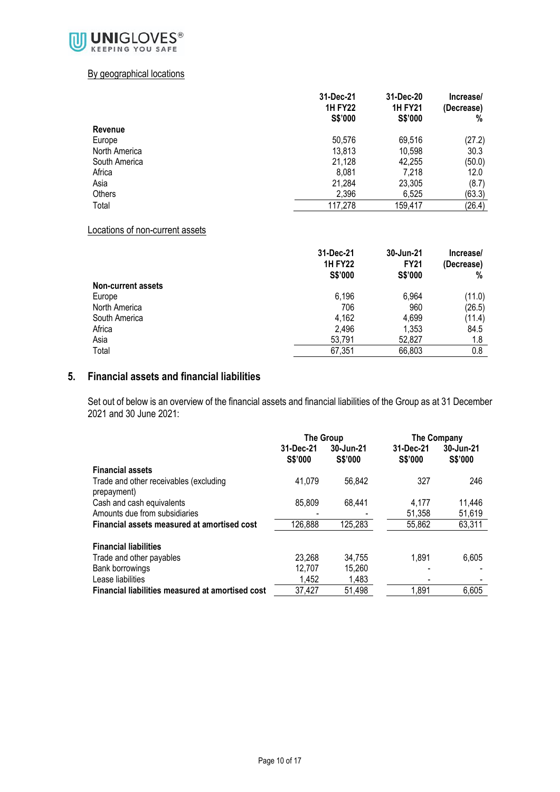

#### By geographical locations

|               | 31-Dec-21<br><b>1H FY22</b> | 31-Dec-20<br><b>1H FY21</b> | Increase/<br>(Decrease) |  |
|---------------|-----------------------------|-----------------------------|-------------------------|--|
|               | S\$'000                     | S\$'000                     | %                       |  |
| Revenue       |                             |                             |                         |  |
| Europe        | 50,576                      | 69,516                      | (27.2)                  |  |
| North America | 13,813                      | 10,598                      | 30.3                    |  |
| South America | 21,128                      | 42,255                      | (50.0)                  |  |
| Africa        | 8,081                       | 7,218                       | 12.0                    |  |
| Asia          | 21,284                      | 23,305                      | (8.7)                   |  |
| Others        | 2,396                       | 6,525                       | (63.3)                  |  |
| Total         | 117,278                     | 159,417                     | (26.4)                  |  |

#### Locations of non-current assets

|                           | 31-Dec-21<br><b>1H FY22</b><br>S\$'000 | 30-Jun-21<br><b>FY21</b><br>S\$'000 | Increase/<br>(Decrease)<br>% |
|---------------------------|----------------------------------------|-------------------------------------|------------------------------|
| <b>Non-current assets</b> |                                        |                                     |                              |
| Europe                    | 6,196                                  | 6,964                               | (11.0)                       |
| North America             | 706                                    | 960                                 | (26.5)                       |
| South America             | 4,162                                  | 4,699                               | (11.4)                       |
| Africa                    | 2.496                                  | 1,353                               | 84.5                         |
| Asia                      | 53,791                                 | 52,827                              | 1.8                          |
| Total                     | 67,351                                 | 66,803                              | 0.8                          |

#### **5. Financial assets and financial liabilities**

Set out of below is an overview of the financial assets and financial liabilities of the Group as at 31 December 2021 and 30 June 2021:

|                                                       | The Group                                    |         | <b>The Company</b>   |                      |
|-------------------------------------------------------|----------------------------------------------|---------|----------------------|----------------------|
|                                                       | 31-Dec-21<br>30-Jun-21<br>S\$'000<br>S\$'000 |         | 31-Dec-21<br>S\$'000 | 30-Jun-21<br>S\$'000 |
| <b>Financial assets</b>                               |                                              |         |                      |                      |
| Trade and other receivables (excluding<br>prepayment) | 41,079                                       | 56.842  | 327                  | 246                  |
| Cash and cash equivalents                             | 85,809                                       | 68,441  | 4.177                | 11,446               |
| Amounts due from subsidiaries                         |                                              |         | 51,358               | 51,619               |
| Financial assets measured at amortised cost           | 126,888                                      | 125,283 | 55,862               | 63,311               |
| <b>Financial liabilities</b>                          |                                              |         |                      |                      |
| Trade and other payables                              | 23,268                                       | 34.755  | 1,891                | 6,605                |
| Bank borrowings                                       | 12,707                                       | 15,260  |                      |                      |
| Lease liabilities                                     | 1,452                                        | 1,483   |                      |                      |
| Financial liabilities measured at amortised cost      | 37,427                                       | 51,498  | 1,891                | 6,605                |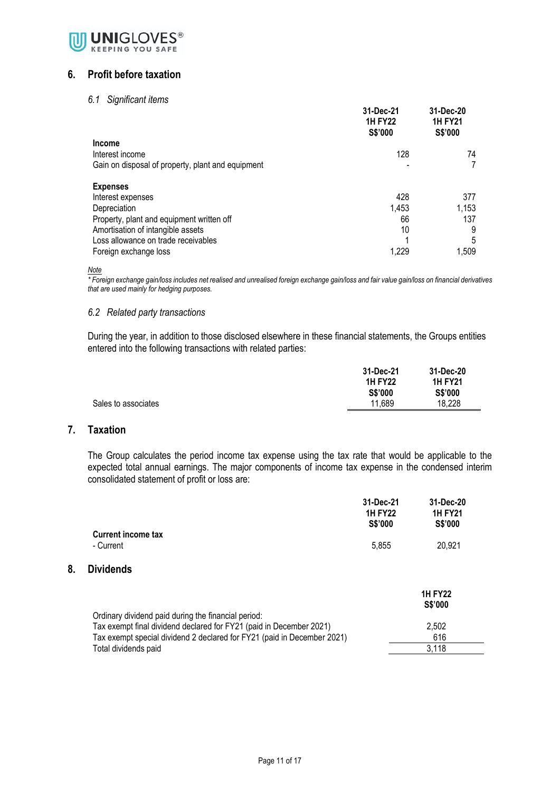

#### **6. Profit before taxation**

#### *6.1 Significant items*

|                                                   | 31-Dec-21<br><b>1H FY22</b><br><b>S\$'000</b> | 31-Dec-20<br><b>1H FY21</b><br>S\$'000 |
|---------------------------------------------------|-----------------------------------------------|----------------------------------------|
| <b>Income</b>                                     |                                               |                                        |
| Interest income                                   | 128                                           | 74                                     |
| Gain on disposal of property, plant and equipment |                                               |                                        |
| <b>Expenses</b>                                   |                                               |                                        |
| Interest expenses                                 | 428                                           | 377                                    |
| Depreciation                                      | 1,453                                         | 1,153                                  |
| Property, plant and equipment written off         | 66                                            | 137                                    |
| Amortisation of intangible assets                 | 10                                            | 9                                      |
| Loss allowance on trade receivables               |                                               | 5                                      |
| Foreign exchange loss                             | 1,229                                         | 1,509                                  |

*Note*

*\* Foreign exchange gain/loss includes net realised and unrealised foreign exchange gain/loss and fair value gain/loss on financial derivatives that are used mainly for hedging purposes.*

#### *6.2 Related party transactions*

During the year, in addition to those disclosed elsewhere in these financial statements, the Groups entities entered into the following transactions with related parties:

|                     | 31-Dec-21      | 31-Dec-20      |  |
|---------------------|----------------|----------------|--|
|                     | <b>1H FY22</b> | <b>1H FY21</b> |  |
|                     | S\$'000        | <b>S\$'000</b> |  |
| Sales to associates | 11,689         | 18,228         |  |
|                     |                |                |  |

#### **7. Taxation**

**8. Dividends**

The Group calculates the period income tax expense using the tax rate that would be applicable to the expected total annual earnings. The major components of income tax expense in the condensed interim consolidated statement of profit or loss are:

|                                                                                                                            | 31-Dec-21<br><b>1H FY22</b><br>S\$'000 | 31-Dec-20<br><b>1H FY21</b><br><b>S\$'000</b> |  |
|----------------------------------------------------------------------------------------------------------------------------|----------------------------------------|-----------------------------------------------|--|
| <b>Current income tax</b><br>- Current                                                                                     | 5,855                                  | 20,921                                        |  |
| <b>Dividends</b>                                                                                                           |                                        |                                               |  |
|                                                                                                                            |                                        | <b>1H FY22</b><br>S\$'000                     |  |
| Ordinary dividend paid during the financial period:<br>Tax exempt final dividend declared for FY21 (paid in December 2021) |                                        | 2,502                                         |  |
| Tax exempt special dividend 2 declared for FY21 (paid in December 2021)                                                    |                                        | 616                                           |  |
| Total dividends paid                                                                                                       |                                        | 3,118                                         |  |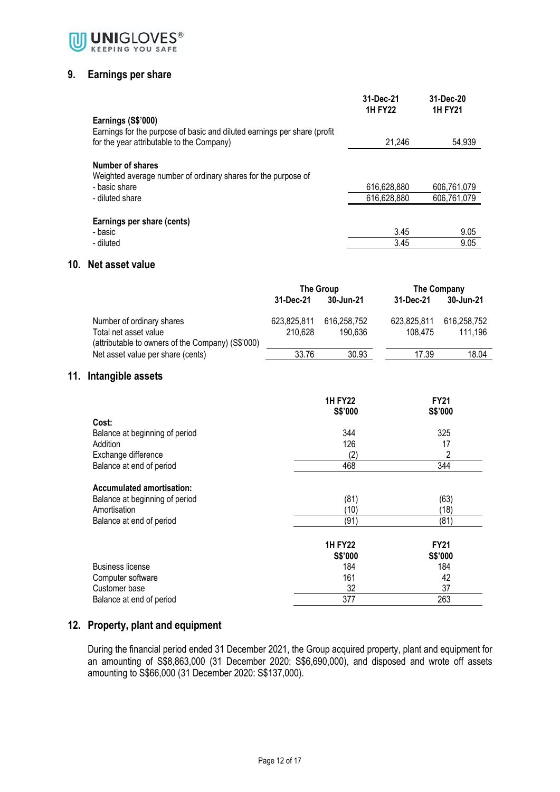

#### **9. Earnings per share**

|                                                                                                    | 31-Dec-21<br><b>1H FY22</b> | 31-Dec-20<br><b>1H FY21</b> |
|----------------------------------------------------------------------------------------------------|-----------------------------|-----------------------------|
| Earnings (S\$'000)<br>Earnings for the purpose of basic and diluted earnings per share (profit     |                             |                             |
| for the year attributable to the Company)                                                          | 21,246                      | 54,939                      |
| Number of shares<br>Weighted average number of ordinary shares for the purpose of<br>- basic share | 616,628,880                 | 606,761,079                 |
| - diluted share                                                                                    | 616,628,880                 | 606,761,079                 |
| Earnings per share (cents)<br>- basic                                                              | 3.45                        | 9.05                        |
| - diluted                                                                                          | 3.45                        | 9.05                        |

#### **10. Net asset value**

|                                                   | The Group   |             | The Company |             |
|---------------------------------------------------|-------------|-------------|-------------|-------------|
|                                                   | 31-Dec-21   | 30-Jun-21   | 31-Dec-21   | 30-Jun-21   |
| Number of ordinary shares                         | 623.825.811 | 616.258.752 | 623,825,811 | 616,258,752 |
| Total net asset value                             | 210.628     | 190.636     | 108.475     | 111.196     |
| (attributable to owners of the Company) (S\$'000) |             |             |             |             |
| Net asset value per share (cents)                 | 33.76       | 30.93       | 17.39       | 18.04       |

#### **11. Intangible assets**

|                                  | <b>1H FY22</b><br>S\$'000 | <b>FY21</b><br>S\$'000 |
|----------------------------------|---------------------------|------------------------|
| Cost:                            |                           |                        |
|                                  |                           |                        |
| Balance at beginning of period   | 344                       | 325                    |
| Addition                         | 126                       | 17                     |
| Exchange difference              | (2)                       | 2                      |
| Balance at end of period         | 468                       | 344                    |
| <b>Accumulated amortisation:</b> |                           |                        |
| Balance at beginning of period   | (81)                      | (63)                   |
| Amortisation                     | (10                       | (18)                   |
| Balance at end of period         | (91)                      | (81)                   |
|                                  | <b>1H FY22</b>            | <b>FY21</b>            |
|                                  | S\$'000                   | S\$'000                |
| <b>Business license</b>          | 184                       | 184                    |
| Computer software                | 161                       | 42                     |
| Customer base                    | 32                        | 37                     |
| Balance at end of period         | 377                       | 263                    |

### **12. Property, plant and equipment**

During the financial period ended 31 December 2021, the Group acquired property, plant and equipment for an amounting of S\$8,863,000 (31 December 2020: S\$6,690,000), and disposed and wrote off assets amounting to S\$66,000 (31 December 2020: S\$137,000).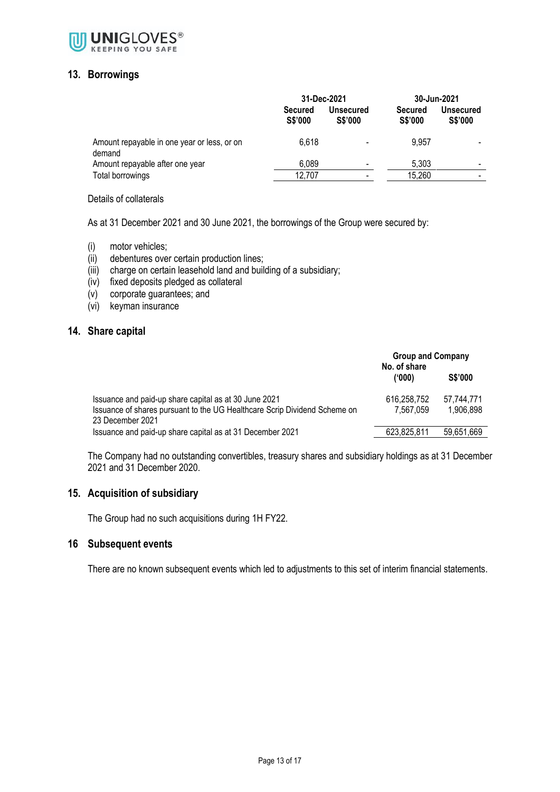

#### **13. Borrowings**

|                                                       | 31-Dec-2021                      |                                    | 30-Jun-2021                      |                             |
|-------------------------------------------------------|----------------------------------|------------------------------------|----------------------------------|-----------------------------|
|                                                       | <b>Secured</b><br><b>S\$'000</b> | <b>Unsecured</b><br><b>S\$'000</b> | <b>Secured</b><br><b>S\$'000</b> | Unsecured<br><b>S\$'000</b> |
| Amount repayable in one year or less, or on<br>demand | 6.618                            |                                    | 9,957                            |                             |
| Amount repayable after one year                       | 6,089                            | $\overline{\phantom{a}}$           | 5.303                            | $\,$                        |
| Total borrowings                                      | 12,707                           | ٠                                  | 15,260                           | $\,$                        |

Details of collaterals

As at 31 December 2021 and 30 June 2021, the borrowings of the Group were secured by:

- (i) motor vehicles;
- (ii) debentures over certain production lines;
- (iii) charge on certain leasehold land and building of a subsidiary;
- (iv) fixed deposits pledged as collateral
- (v) corporate guarantees; and
- (vi) keyman insurance

#### **14. Share capital**

|                                                                                               | <b>Group and Company</b><br>No. of share |                |  |
|-----------------------------------------------------------------------------------------------|------------------------------------------|----------------|--|
|                                                                                               | (000)                                    | <b>S\$'000</b> |  |
| Issuance and paid-up share capital as at 30 June 2021                                         | 616.258.752                              | 57.744.771     |  |
| Issuance of shares pursuant to the UG Healthcare Scrip Dividend Scheme on<br>23 December 2021 | 7.567.059                                | 1.906.898      |  |
| Issuance and paid-up share capital as at 31 December 2021                                     | 623,825,811                              | 59,651,669     |  |

The Company had no outstanding convertibles, treasury shares and subsidiary holdings as at 31 December 2021 and 31 December 2020.

#### **15. Acquisition of subsidiary**

The Group had no such acquisitions during 1H FY22.

#### **16 Subsequent events**

There are no known subsequent events which led to adjustments to this set of interim financial statements.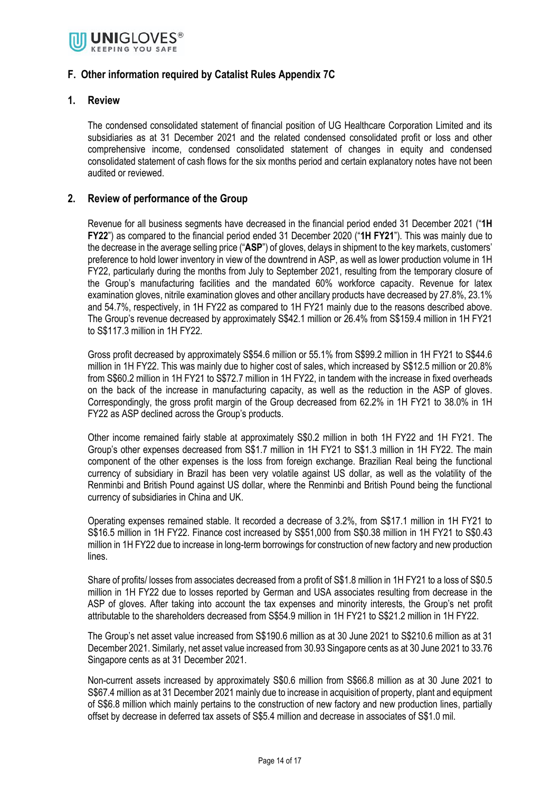

#### **F. Other information required by Catalist Rules Appendix 7C**

#### **1. Review**

The condensed consolidated statement of financial position of UG Healthcare Corporation Limited and its subsidiaries as at 31 December 2021 and the related condensed consolidated profit or loss and other comprehensive income, condensed consolidated statement of changes in equity and condensed consolidated statement of cash flows for the six months period and certain explanatory notes have not been audited or reviewed.

#### **2. Review of performance of the Group**

Revenue for all business segments have decreased in the financial period ended 31 December 2021 ("**1H FY22**") as compared to the financial period ended 31 December 2020 ("**1H FY21**"). This was mainly due to the decrease in the average selling price ("**ASP**") of gloves, delays in shipment to the key markets, customers' preference to hold lower inventory in view of the downtrend in ASP, as well as lower production volume in 1H FY22, particularly during the months from July to September 2021, resulting from the temporary closure of the Group's manufacturing facilities and the mandated 60% workforce capacity. Revenue for latex examination gloves, nitrile examination gloves and other ancillary products have decreased by 27.8%, 23.1% and 54.7%, respectively, in 1H FY22 as compared to 1H FY21 mainly due to the reasons described above. The Group's revenue decreased by approximately S\$42.1 million or 26.4% from S\$159.4 million in 1H FY21 to S\$117.3 million in 1H FY22.

Gross profit decreased by approximately S\$54.6 million or 55.1% from S\$99.2 million in 1H FY21 to S\$44.6 million in 1H FY22. This was mainly due to higher cost of sales, which increased by S\$12.5 million or 20.8% from S\$60.2 million in 1H FY21 to S\$72.7 million in 1H FY22, in tandem with the increase in fixed overheads on the back of the increase in manufacturing capacity, as well as the reduction in the ASP of gloves. Correspondingly, the gross profit margin of the Group decreased from 62.2% in 1H FY21 to 38.0% in 1H FY22 as ASP declined across the Group's products.

Other income remained fairly stable at approximately S\$0.2 million in both 1H FY22 and 1H FY21. The Group's other expenses decreased from S\$1.7 million in 1H FY21 to S\$1.3 million in 1H FY22. The main component of the other expenses is the loss from foreign exchange. Brazilian Real being the functional currency of subsidiary in Brazil has been very volatile against US dollar, as well as the volatility of the Renminbi and British Pound against US dollar, where the Renminbi and British Pound being the functional currency of subsidiaries in China and UK.

Operating expenses remained stable. It recorded a decrease of 3.2%, from S\$17.1 million in 1H FY21 to S\$16.5 million in 1H FY22. Finance cost increased by S\$51,000 from S\$0.38 million in 1H FY21 to S\$0.43 million in 1H FY22 due to increase in long-term borrowings for construction of new factory and new production lines.

Share of profits/ losses from associates decreased from a profit of S\$1.8 million in 1H FY21 to a loss of S\$0.5 million in 1H FY22 due to losses reported by German and USA associates resulting from decrease in the ASP of gloves. After taking into account the tax expenses and minority interests, the Group's net profit attributable to the shareholders decreased from S\$54.9 million in 1H FY21 to S\$21.2 million in 1H FY22.

The Group's net asset value increased from S\$190.6 million as at 30 June 2021 to S\$210.6 million as at 31 December 2021. Similarly, net asset value increased from 30.93 Singapore cents as at 30 June 2021 to 33.76 Singapore cents as at 31 December 2021.

Non-current assets increased by approximately S\$0.6 million from S\$66.8 million as at 30 June 2021 to S\$67.4 million as at 31 December 2021 mainly due to increase in acquisition of property, plant and equipment of S\$6.8 million which mainly pertains to the construction of new factory and new production lines, partially offset by decrease in deferred tax assets of S\$5.4 million and decrease in associates of S\$1.0 mil.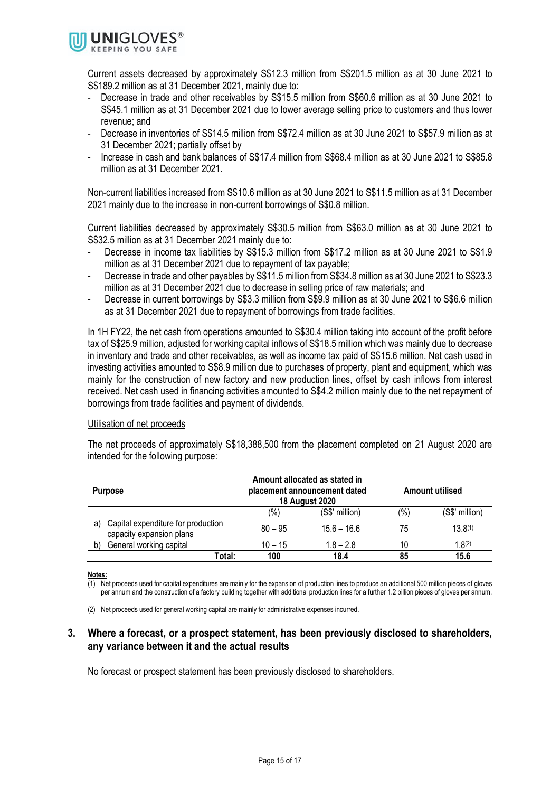

Current assets decreased by approximately S\$12.3 million from S\$201.5 million as at 30 June 2021 to S\$189.2 million as at 31 December 2021, mainly due to:

- Decrease in trade and other receivables by S\$15.5 million from S\$60.6 million as at 30 June 2021 to S\$45.1 million as at 31 December 2021 due to lower average selling price to customers and thus lower revenue; and
- Decrease in inventories of S\$14.5 million from S\$72.4 million as at 30 June 2021 to S\$57.9 million as at 31 December 2021; partially offset by
- Increase in cash and bank balances of S\$17.4 million from S\$68.4 million as at 30 June 2021 to S\$85.8 million as at 31 December 2021.

Non-current liabilities increased from S\$10.6 million as at 30 June 2021 to S\$11.5 million as at 31 December 2021 mainly due to the increase in non-current borrowings of S\$0.8 million.

Current liabilities decreased by approximately S\$30.5 million from S\$63.0 million as at 30 June 2021 to S\$32.5 million as at 31 December 2021 mainly due to:

- Decrease in income tax liabilities by S\$15.3 million from S\$17.2 million as at 30 June 2021 to S\$1.9 million as at 31 December 2021 due to repayment of tax payable;
- Decrease in trade and other payables by S\$11.5 million from S\$34.8 million as at 30 June 2021 to S\$23.3 million as at 31 December 2021 due to decrease in selling price of raw materials; and
- Decrease in current borrowings by S\$3.3 million from S\$9.9 million as at 30 June 2021 to S\$6.6 million as at 31 December 2021 due to repayment of borrowings from trade facilities.

In 1H FY22, the net cash from operations amounted to S\$30.4 million taking into account of the profit before tax of S\$25.9 million, adjusted for working capital inflows of S\$18.5 million which was mainly due to decrease in inventory and trade and other receivables, as well as income tax paid of S\$15.6 million. Net cash used in investing activities amounted to S\$8.9 million due to purchases of property, plant and equipment, which was mainly for the construction of new factory and new production lines, offset by cash inflows from interest received. Net cash used in financing activities amounted to S\$4.2 million mainly due to the net repayment of borrowings from trade facilities and payment of dividends.

#### Utilisation of net proceeds

The net proceeds of approximately S\$18,388,500 from the placement completed on 21 August 2020 are intended for the following purpose:

| Amount allocated as stated in<br>Amount utilised<br>placement announcement dated<br><b>Purpose</b><br><b>18 August 2020</b> |           |                |         |                |
|-----------------------------------------------------------------------------------------------------------------------------|-----------|----------------|---------|----------------|
|                                                                                                                             | (%)       | (S\$' million) | $(\% )$ | (S\$' million) |
| Capital expenditure for production<br>a)<br>capacity expansion plans                                                        | $80 - 95$ | $15.6 - 16.6$  | 75      | $13.8^{(1)}$   |
| General working capital<br>b)                                                                                               | $10 - 15$ | $1.8 - 2.8$    | 10      | 1.8(2)         |
| Total:                                                                                                                      | 100       | 18.4           | 85      | 15.6           |

**Notes:**

 $(1)$  Net proceeds used for capital expenditures are mainly for the expansion of production lines to produce an additional 500 million pieces of gloves per annum and the construction of a factory building together with additional production lines for a further 1.2 billion pieces of gloves per annum.

(2) Net proceeds used for general working capital are mainly for administrative expenses incurred.

#### **3. Where a forecast, or a prospect statement, has been previously disclosed to shareholders, any variance between it and the actual results**

No forecast or prospect statement has been previously disclosed to shareholders.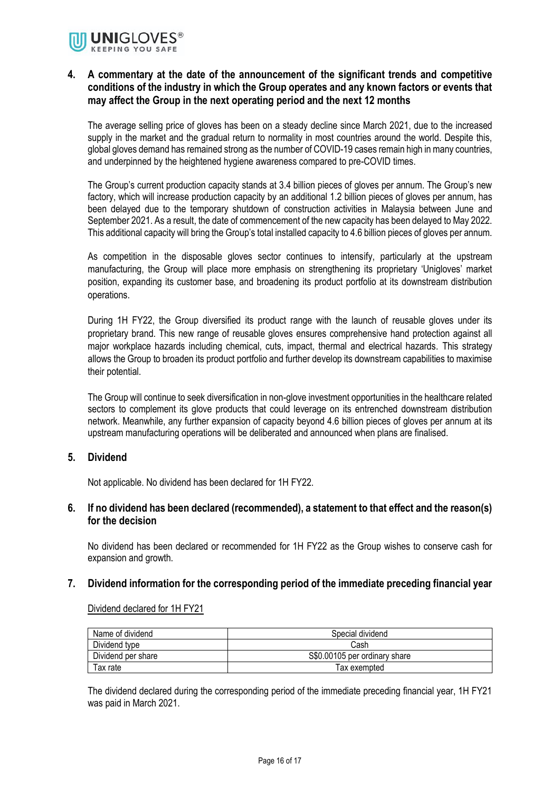

#### **4. A commentary at the date of the announcement of the significant trends and competitive conditions of the industry in which the Group operates and any known factors or events that may affect the Group in the next operating period and the next 12 months**

The average selling price of gloves has been on a steady decline since March 2021, due to the increased supply in the market and the gradual return to normality in most countries around the world. Despite this, global gloves demand has remained strong as the number of COVID-19 cases remain high in many countries, and underpinned by the heightened hygiene awareness compared to pre-COVID times.

The Group's current production capacity stands at 3.4 billion pieces of gloves per annum. The Group's new factory, which will increase production capacity by an additional 1.2 billion pieces of gloves per annum, has been delayed due to the temporary shutdown of construction activities in Malaysia between June and September 2021. As a result, the date of commencement of the new capacity has been delayed to May 2022. This additional capacity will bring the Group's total installed capacity to 4.6 billion pieces of gloves per annum.

As competition in the disposable gloves sector continues to intensify, particularly at the upstream manufacturing, the Group will place more emphasis on strengthening its proprietary 'Unigloves' market position, expanding its customer base, and broadening its product portfolio at its downstream distribution operations.

During 1H FY22, the Group diversified its product range with the launch of reusable gloves under its proprietary brand. This new range of reusable gloves ensures comprehensive hand protection against all major workplace hazards including chemical, cuts, impact, thermal and electrical hazards. This strategy allows the Group to broaden its product portfolio and further develop its downstream capabilities to maximise their potential.

The Group will continue to seek diversification in non-glove investment opportunities in the healthcare related sectors to complement its glove products that could leverage on its entrenched downstream distribution network. Meanwhile, any further expansion of capacity beyond 4.6 billion pieces of gloves per annum at its upstream manufacturing operations will be deliberated and announced when plans are finalised.

#### **5. Dividend**

Not applicable. No dividend has been declared for 1H FY22.

#### **6. If no dividend has been declared (recommended), a statement to that effect and the reason(s) for the decision**

No dividend has been declared or recommended for 1H FY22 as the Group wishes to conserve cash for expansion and growth.

#### **7. Dividend information for the corresponding period of the immediate preceding financial year**

#### Dividend declared for 1H FY21

| Name of dividend   | Special dividend              |
|--------------------|-------------------------------|
| Dividend type      | Cash                          |
| Dividend per share | S\$0.00105 per ordinary share |
| Tax rate           | Tax exempted                  |

The dividend declared during the corresponding period of the immediate preceding financial year, 1H FY21 was paid in March 2021.